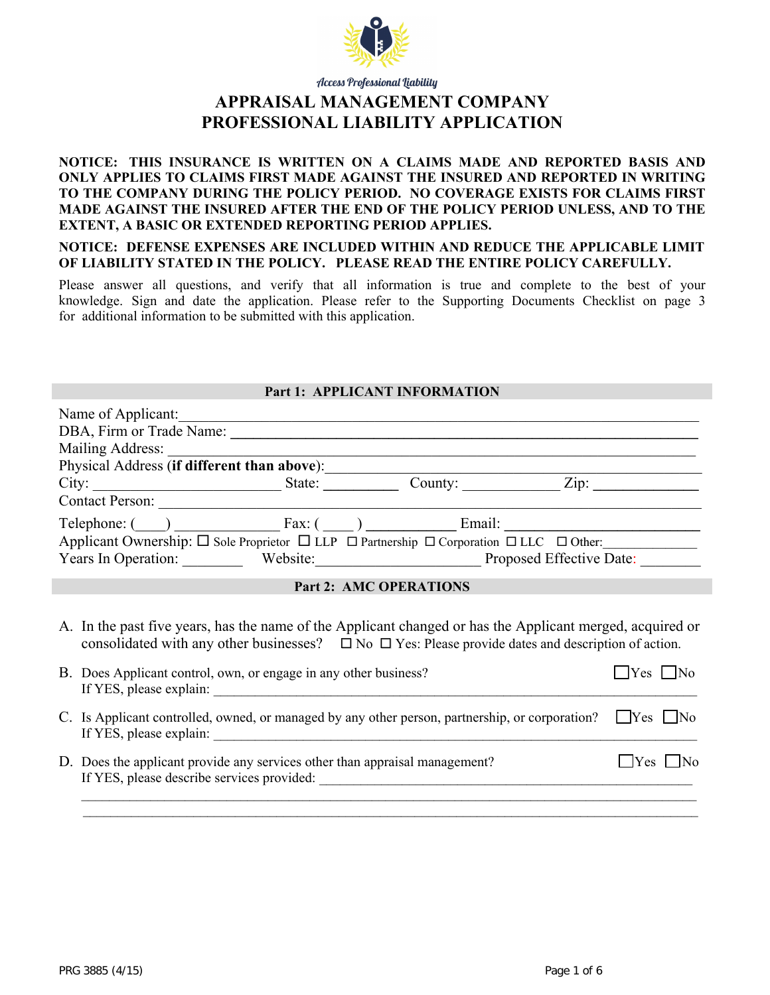

**Access Professional Liability** 

# **APPRAISAL MANAGEMENT COMPANY PROFESSIONAL LIABILITY APPLICATION**

## **NOTICE: THIS INSURANCE IS WRITTEN ON A CLAIMS MADE AND REPORTED BASIS AND ONLY APPLIES TO CLAIMS FIRST MADE AGAINST THE INSURED AND REPORTED IN WRITING TO THE COMPANY DURING THE POLICY PERIOD. NO COVERAGE EXISTS FOR CLAIMS FIRST MADE AGAINST THE INSURED AFTER THE END OF THE POLICY PERIOD UNLESS, AND TO THE EXTENT, A BASIC OR EXTENDED REPORTING PERIOD APPLIES.**

**NOTICE: DEFENSE EXPENSES ARE INCLUDED WITHIN AND REDUCE THE APPLICABLE LIMIT OF LIABILITY STATED IN THE POLICY. PLEASE READ THE ENTIRE POLICY CAREFULLY.** 

Please answer all questions, and verify that all information is true and complete to the best of your knowledge. Sign and date the application. Please refer to the Supporting Documents Checklist on page 3 for additional information to be submitted with this application.

**Part 1: APPLICANT INFORMATION** 

|                      | Part 1: APPLICANT INFORMATION |                                                                                                                                                                                                                                  |
|----------------------|-------------------------------|----------------------------------------------------------------------------------------------------------------------------------------------------------------------------------------------------------------------------------|
| Name of Applicant:   |                               |                                                                                                                                                                                                                                  |
|                      |                               |                                                                                                                                                                                                                                  |
|                      |                               |                                                                                                                                                                                                                                  |
|                      |                               |                                                                                                                                                                                                                                  |
|                      |                               |                                                                                                                                                                                                                                  |
| Contact Person: 2008 |                               |                                                                                                                                                                                                                                  |
|                      |                               | Telephone: $(\_\_\_\_\_\_\_$ Fax: $(\_\_\_\_\_\_\_$ Email: $\_\_\_\_\_$                                                                                                                                                          |
|                      |                               | Applicant Ownership: □ Sole Proprietor □ LLP □ Partnership □ Corporation □ LLC □ Other:                                                                                                                                          |
|                      |                               | Years In Operation: Website: Website: Proposed Effective Date:                                                                                                                                                                   |
|                      | <b>Part 2: AMC OPERATIONS</b> |                                                                                                                                                                                                                                  |
|                      |                               |                                                                                                                                                                                                                                  |
|                      |                               | A. In the past five years, has the name of the Applicant changed or has the Applicant merged, acquired or<br>consolidated with any other businesses? $\square$ No $\square$ Yes: Please provide dates and description of action. |

| B. Does Applicant control, own, or engage in any other business?<br>If YES, please explain:                                                     | Yes.                 |
|-------------------------------------------------------------------------------------------------------------------------------------------------|----------------------|
| C. Is Applicant controlled, owned, or managed by any other person, partnership, or corporation? $\Box$ Yes $\Box$ No<br>If YES, please explain: |                      |
| D. Does the applicant provide any services other than appraisal management?<br>If YES, please describe services provided:                       | $\Box$ Yes $\Box$ No |
|                                                                                                                                                 |                      |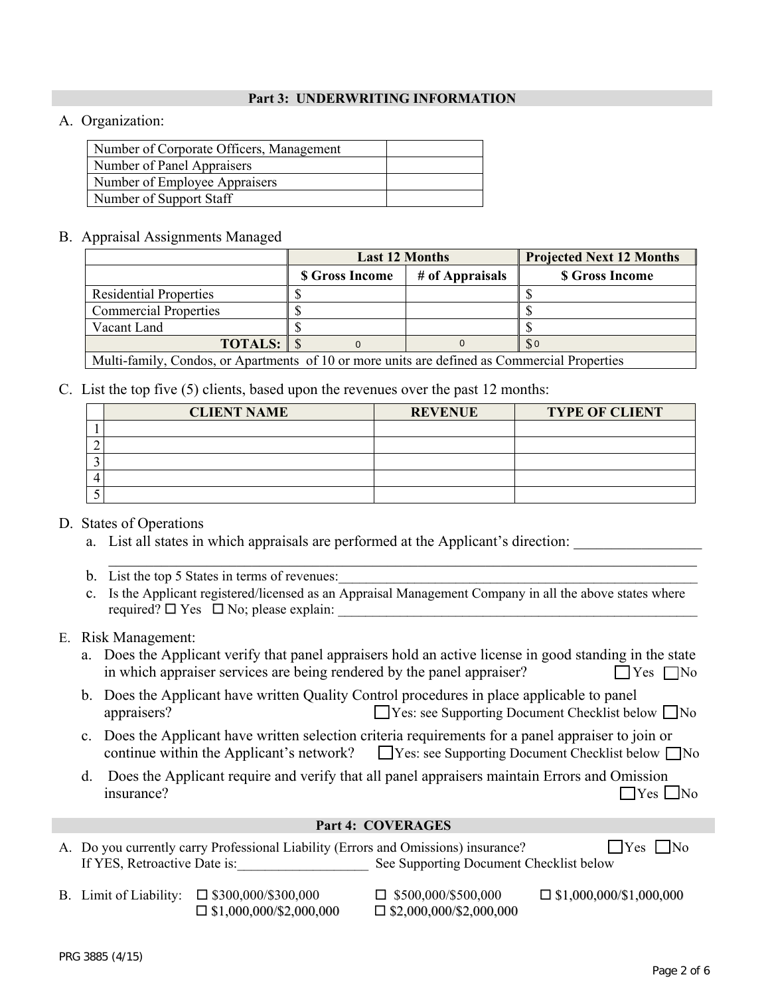## **Part 3: UNDERWRITING INFORMATION**

## A. Organization:

| Number of Corporate Officers, Management |  |
|------------------------------------------|--|
| Number of Panel Appraisers               |  |
| Number of Employee Appraisers            |  |
| Number of Support Staff                  |  |

## B. Appraisal Assignments Managed

|                                                                                            | <b>Last 12 Months</b>  |                 | <b>Projected Next 12 Months</b> |  |
|--------------------------------------------------------------------------------------------|------------------------|-----------------|---------------------------------|--|
|                                                                                            | <b>\$ Gross Income</b> | # of Appraisals | <b>S</b> Gross Income           |  |
| <b>Residential Properties</b>                                                              |                        |                 |                                 |  |
| <b>Commercial Properties</b>                                                               |                        |                 |                                 |  |
| Vacant Land                                                                                |                        |                 |                                 |  |
| <b>TOTALS:</b> $\$\$                                                                       |                        |                 | $S_0$                           |  |
| Multi-family Condos or Apertments of 10 or more units are defined as Commercial Properties |                        |                 |                                 |  |

Multi-family, Condos, or Apartments of 10 or more units are defined as Commercial Properties

## C. List the top five (5) clients, based upon the revenues over the past 12 months:

| <b>CLIENT NAME</b> | <b>REVENUE</b> | <b>TYPE OF CLIENT</b> |
|--------------------|----------------|-----------------------|
|                    |                |                       |
|                    |                |                       |
|                    |                |                       |
|                    |                |                       |
|                    |                |                       |

## D. States of Operations

- a. List all states in which appraisals are performed at the Applicant's direction:
- b. List the top 5 States in terms of revenues:
- c. Is the Applicant registered/licensed as an Appraisal Management Company in all the above states where required?  $\Box$  Yes  $\Box$  No; please explain:

 $\mathcal{L}_\mathcal{L} = \{ \mathcal{L}_\mathcal{L} = \{ \mathcal{L}_\mathcal{L} = \{ \mathcal{L}_\mathcal{L} = \{ \mathcal{L}_\mathcal{L} = \{ \mathcal{L}_\mathcal{L} = \{ \mathcal{L}_\mathcal{L} = \{ \mathcal{L}_\mathcal{L} = \{ \mathcal{L}_\mathcal{L} = \{ \mathcal{L}_\mathcal{L} = \{ \mathcal{L}_\mathcal{L} = \{ \mathcal{L}_\mathcal{L} = \{ \mathcal{L}_\mathcal{L} = \{ \mathcal{L}_\mathcal{L} = \{ \mathcal{L}_\mathcal{$ 

## E. Risk Management:

- a. Does the Applicant verify that panel appraisers hold an active license in good standing in the state in which appraiser services are being rendered by the panel appraiser?  $\Box$  Yes  $\Box$  No
- b. Does the Applicant have written Quality Control procedures in place applicable to panel appraisers? The Supporting Document Checklist below No. 2014
- c. Does the Applicant have written selection criteria requirements for a panel appraiser to join or continue within the Applicant's network?  $\Box$  Yes: see Supporting Document Checklist below  $\Box$  No
- d. Does the Applicant require and verify that all panel appraisers maintain Errors and Omission  $\Box$  Yes  $\Box$  No

## **Part 4: COVERAGES**

- A. Do you currently carry Professional Liability (Errors and Omissions) insurance?  $\Box$  Yes  $\Box$  No If YES, Retroactive Date is: <br>See Supporting Document Checklist below
- B. Limit of Liability:  $\Box$  \$300,000/\$300,000  $\Box$  \$500,000/\$500,000  $\Box$  \$1,000,000/\$1,000,000  $\Box$  \$1,000,000/\$2,000,000  $\Box$  \$2,000,000/\$2,000,000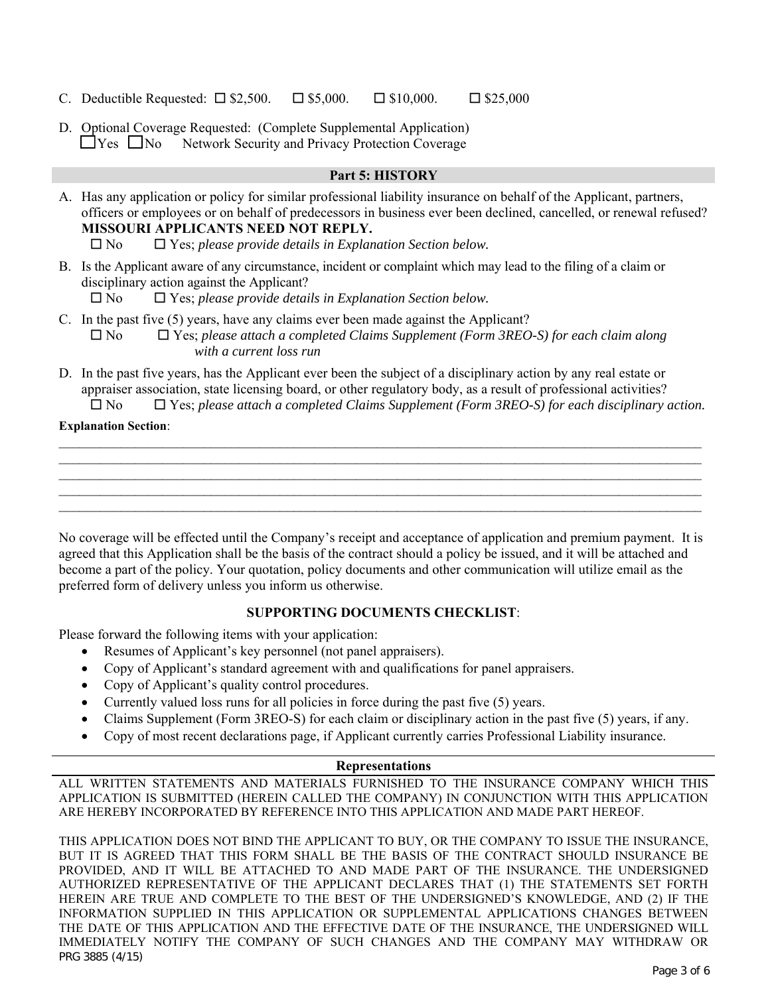- C. Deductible Requested:  $\square$  \$2,500.  $\square$  \$5,000.  $\square$  \$10,000.  $\square$  \$25,000
- D. Optional Coverage Requested: (Complete Supplemental Application)  $\Box$  Yes  $\Box$  No Network Security and Privacy Protection Coverage

#### **Part 5: HISTORY**

A. Has any application or policy for similar professional liability insurance on behalf of the Applicant, partners, officers or employees or on behalf of predecessors in business ever been declined, cancelled, or renewal refused? **MISSOURI APPLICANTS NEED NOT REPLY.**

No Yes; *please provide details in Explanation Section below.*

B. Is the Applicant aware of any circumstance, incident or complaint which may lead to the filing of a claim or disciplinary action against the Applicant?

No Yes; *please provide details in Explanation Section below.*

- C. In the past five (5) years, have any claims ever been made against the Applicant? No Yes; *please attach a completed Claims Supplement (Form 3REO-S) for each claim along with a current loss run*
- D. In the past five years, has the Applicant ever been the subject of a disciplinary action by any real estate or appraiser association, state licensing board, or other regulatory body, as a result of professional activities? No Yes; *please attach a completed Claims Supplement (Form 3REO-S) for each disciplinary action.*

#### **Explanation Section**:

| <u> 1990 - Johann Barbara, martxa alemaniar argamento de la contrada de la contrada de la contrada de la contrada</u> |  |  |
|-----------------------------------------------------------------------------------------------------------------------|--|--|
|                                                                                                                       |  |  |
|                                                                                                                       |  |  |
|                                                                                                                       |  |  |
|                                                                                                                       |  |  |

No coverage will be effected until the Company's receipt and acceptance of application and premium payment. It is agreed that this Application shall be the basis of the contract should a policy be issued, and it will be attached and become a part of the policy. Your quotation, policy documents and other communication will utilize email as the preferred form of delivery unless you inform us otherwise.

## **SUPPORTING DOCUMENTS CHECKLIST**:

Please forward the following items with your application:

- Resumes of Applicant's key personnel (not panel appraisers).
- Copy of Applicant's standard agreement with and qualifications for panel appraisers.
- Copy of Applicant's quality control procedures.
- Currently valued loss runs for all policies in force during the past five (5) years.
- Claims Supplement (Form 3REO-S) for each claim or disciplinary action in the past five (5) years, if any.
- Copy of most recent declarations page, if Applicant currently carries Professional Liability insurance.

## **Representations**

ALL WRITTEN STATEMENTS AND MATERIALS FURNISHED TO THE INSURANCE COMPANY WHICH THIS APPLICATION IS SUBMITTED (HEREIN CALLED THE COMPANY) IN CONJUNCTION WITH THIS APPLICATION ARE HEREBY INCORPORATED BY REFERENCE INTO THIS APPLICATION AND MADE PART HEREOF.

PRG 3885 (4/15) THIS APPLICATION DOES NOT BIND THE APPLICANT TO BUY, OR THE COMPANY TO ISSUE THE INSURANCE, BUT IT IS AGREED THAT THIS FORM SHALL BE THE BASIS OF THE CONTRACT SHOULD INSURANCE BE PROVIDED, AND IT WILL BE ATTACHED TO AND MADE PART OF THE INSURANCE. THE UNDERSIGNED AUTHORIZED REPRESENTATIVE OF THE APPLICANT DECLARES THAT (1) THE STATEMENTS SET FORTH HEREIN ARE TRUE AND COMPLETE TO THE BEST OF THE UNDERSIGNED'S KNOWLEDGE, AND (2) IF THE INFORMATION SUPPLIED IN THIS APPLICATION OR SUPPLEMENTAL APPLICATIONS CHANGES BETWEEN THE DATE OF THIS APPLICATION AND THE EFFECTIVE DATE OF THE INSURANCE, THE UNDERSIGNED WILL IMMEDIATELY NOTIFY THE COMPANY OF SUCH CHANGES AND THE COMPANY MAY WITHDRAW OR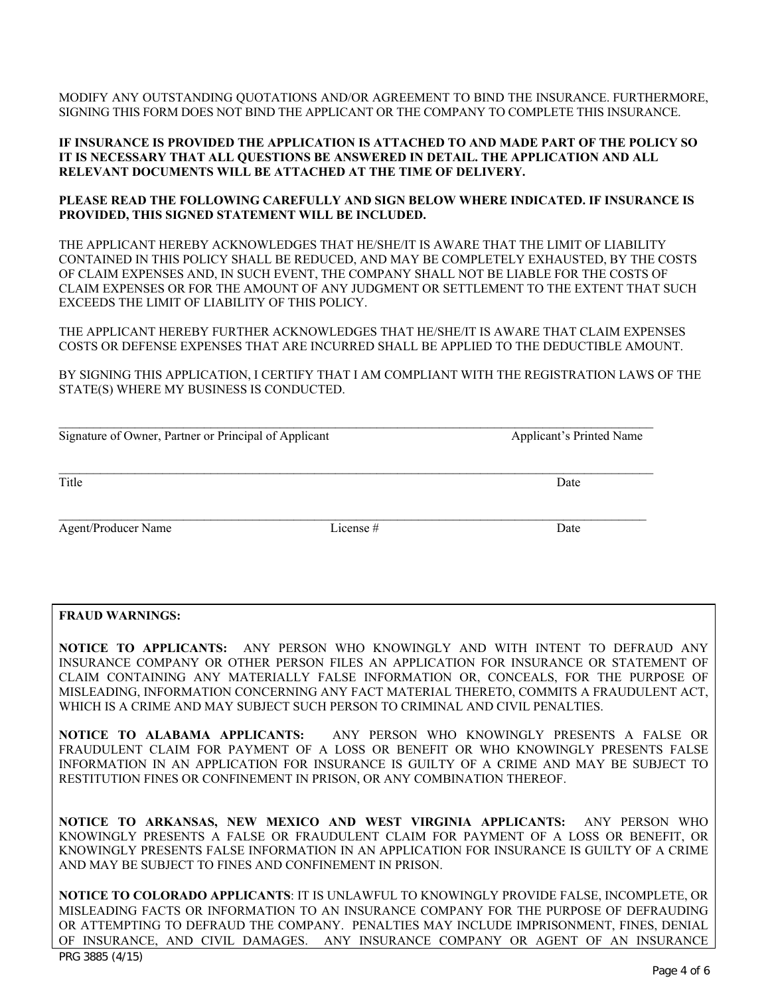KNOWINGLY PRESENTS FALSE INFORMATION IN AN APPLICATION FOR INSURANCE IS GUILTY OF A CRIME AND MAY BE SUBJECT TO FINES AND CONFINEMENT IN PRISON.

**NOTICE TO COLORADO APPLICANTS**: IT IS UNLAWFUL TO KNOWINGLY PROVIDE FALSE, INCOMPLETE, OR MISLEADING FACTS OR INFORMATION TO AN INSURANCE COMPANY FOR THE PURPOSE OF DEFRAUDING OR ATTEMPTING TO DEFRAUD THE COMPANY. PENALTIES MAY INCLUDE IMPRISONMENT, FINES, DENIAL OF INSURANCE, AND CIVIL DAMAGES. ANY INSURANCE COMPANY OR AGENT OF AN INSURANCE

MODIFY ANY OUTSTANDING QUOTATIONS AND/OR AGREEMENT TO BIND THE INSURANCE. FURTHERMORE, SIGNING THIS FORM DOES NOT BIND THE APPLICANT OR THE COMPANY TO COMPLETE THIS INSURANCE.

#### **IF INSURANCE IS PROVIDED THE APPLICATION IS ATTACHED TO AND MADE PART OF THE POLICY SO IT IS NECESSARY THAT ALL QUESTIONS BE ANSWERED IN DETAIL. THE APPLICATION AND ALL RELEVANT DOCUMENTS WILL BE ATTACHED AT THE TIME OF DELIVERY.**

#### **PLEASE READ THE FOLLOWING CAREFULLY AND SIGN BELOW WHERE INDICATED. IF INSURANCE IS PROVIDED, THIS SIGNED STATEMENT WILL BE INCLUDED.**

THE APPLICANT HEREBY ACKNOWLEDGES THAT HE/SHE/IT IS AWARE THAT THE LIMIT OF LIABILITY CONTAINED IN THIS POLICY SHALL BE REDUCED, AND MAY BE COMPLETELY EXHAUSTED, BY THE COSTS OF CLAIM EXPENSES AND, IN SUCH EVENT, THE COMPANY SHALL NOT BE LIABLE FOR THE COSTS OF CLAIM EXPENSES OR FOR THE AMOUNT OF ANY JUDGMENT OR SETTLEMENT TO THE EXTENT THAT SUCH EXCEEDS THE LIMIT OF LIABILITY OF THIS POLICY.

THE APPLICANT HEREBY FURTHER ACKNOWLEDGES THAT HE/SHE/IT IS AWARE THAT CLAIM EXPENSES COSTS OR DEFENSE EXPENSES THAT ARE INCURRED SHALL BE APPLIED TO THE DEDUCTIBLE AMOUNT.

BY SIGNING THIS APPLICATION, I CERTIFY THAT I AM COMPLIANT WITH THE REGISTRATION LAWS OF THE STATE(S) WHERE MY BUSINESS IS CONDUCTED.

| Signature of Owner, Partner or Principal of Applicant | Applicant's Printed Name |      |
|-------------------------------------------------------|--------------------------|------|
|                                                       |                          |      |
| Title                                                 |                          | Date |
|                                                       |                          |      |
| <b>Agent/Producer Name</b>                            | License#                 | Date |
|                                                       |                          |      |
|                                                       |                          |      |

 $\mathcal{L}_\mathcal{L} = \{ \mathcal{L}_\mathcal{L} = \{ \mathcal{L}_\mathcal{L} = \{ \mathcal{L}_\mathcal{L} = \{ \mathcal{L}_\mathcal{L} = \{ \mathcal{L}_\mathcal{L} = \{ \mathcal{L}_\mathcal{L} = \{ \mathcal{L}_\mathcal{L} = \{ \mathcal{L}_\mathcal{L} = \{ \mathcal{L}_\mathcal{L} = \{ \mathcal{L}_\mathcal{L} = \{ \mathcal{L}_\mathcal{L} = \{ \mathcal{L}_\mathcal{L} = \{ \mathcal{L}_\mathcal{L} = \{ \mathcal{L}_\mathcal{$ 

## **FRAUD WARNINGS:**

**NOTICE TO APPLICANTS:** ANY PERSON WHO KNOWINGLY AND WITH INTENT TO DEFRAUD ANY INSURANCE COMPANY OR OTHER PERSON FILES AN APPLICATION FOR INSURANCE OR STATEMENT OF CLAIM CONTAINING ANY MATERIALLY FALSE INFORMATION OR, CONCEALS, FOR THE PURPOSE OF MISLEADING, INFORMATION CONCERNING ANY FACT MATERIAL THERETO, COMMITS A FRAUDULENT ACT, WHICH IS A CRIME AND MAY SUBJECT SUCH PERSON TO CRIMINAL AND CIVIL PENALTIES.

**NOTICE TO ALABAMA APPLICANTS:** ANY PERSON WHO KNOWINGLY PRESENTS A FALSE OR FRAUDULENT CLAIM FOR PAYMENT OF A LOSS OR BENEFIT OR WHO KNOWINGLY PRESENTS FALSE INFORMATION IN AN APPLICATION FOR INSURANCE IS GUILTY OF A CRIME AND MAY BE SUBJECT TO RESTITUTION FINES OR CONFINEMENT IN PRISON, OR ANY COMBINATION THEREOF.

**NOTICE TO ARKANSAS, NEW MEXICO AND WEST VIRGINIA APPLICANTS:** ANY PERSON WHO KNOWINGLY PRESENTS A FALSE OR FRAUDULENT CLAIM FOR PAYMENT OF A LOSS OR BENEFIT, OR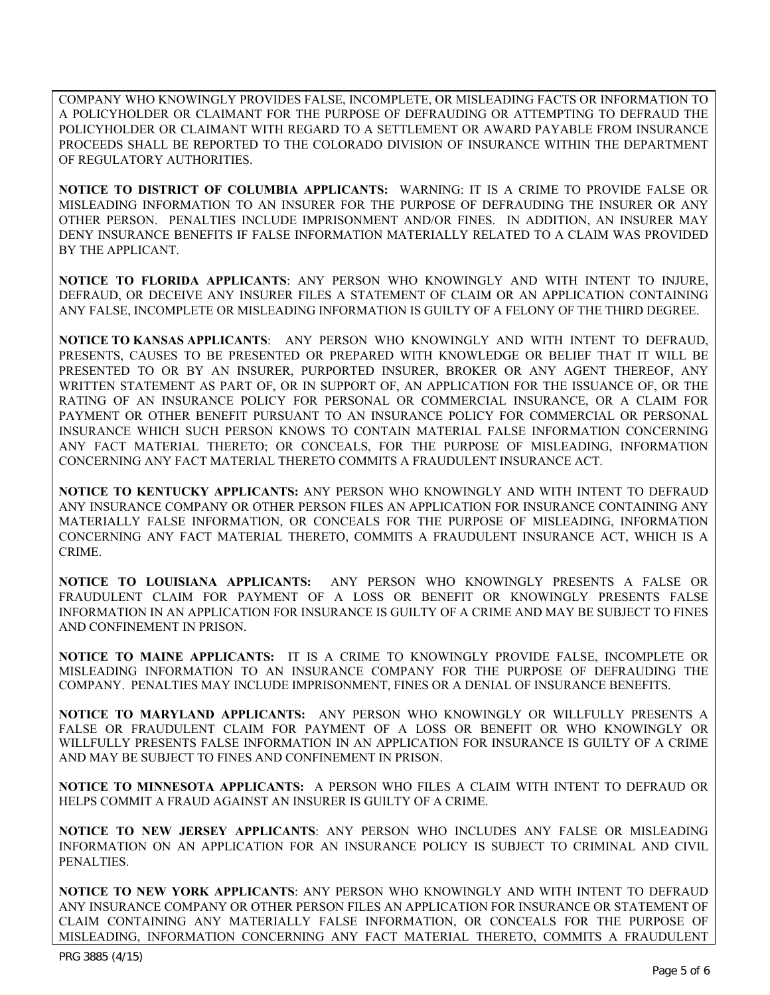COMPANY WHO KNOWINGLY PROVIDES FALSE, INCOMPLETE, OR MISLEADING FACTS OR INFORMATION TO A POLICYHOLDER OR CLAIMANT FOR THE PURPOSE OF DEFRAUDING OR ATTEMPTING TO DEFRAUD THE POLICYHOLDER OR CLAIMANT WITH REGARD TO A SETTLEMENT OR AWARD PAYABLE FROM INSURANCE PROCEEDS SHALL BE REPORTED TO THE COLORADO DIVISION OF INSURANCE WITHIN THE DEPARTMENT OF REGULATORY AUTHORITIES.

**NOTICE TO DISTRICT OF COLUMBIA APPLICANTS:** WARNING: IT IS A CRIME TO PROVIDE FALSE OR MISLEADING INFORMATION TO AN INSURER FOR THE PURPOSE OF DEFRAUDING THE INSURER OR ANY OTHER PERSON. PENALTIES INCLUDE IMPRISONMENT AND/OR FINES. IN ADDITION, AN INSURER MAY DENY INSURANCE BENEFITS IF FALSE INFORMATION MATERIALLY RELATED TO A CLAIM WAS PROVIDED BY THE APPLICANT.

**NOTICE TO FLORIDA APPLICANTS**: ANY PERSON WHO KNOWINGLY AND WITH INTENT TO INJURE, DEFRAUD, OR DECEIVE ANY INSURER FILES A STATEMENT OF CLAIM OR AN APPLICATION CONTAINING ANY FALSE, INCOMPLETE OR MISLEADING INFORMATION IS GUILTY OF A FELONY OF THE THIRD DEGREE.

**NOTICE TO KANSAS APPLICANTS**: ANY PERSON WHO KNOWINGLY AND WITH INTENT TO DEFRAUD, PRESENTS, CAUSES TO BE PRESENTED OR PREPARED WITH KNOWLEDGE OR BELIEF THAT IT WILL BE PRESENTED TO OR BY AN INSURER, PURPORTED INSURER, BROKER OR ANY AGENT THEREOF, ANY WRITTEN STATEMENT AS PART OF, OR IN SUPPORT OF, AN APPLICATION FOR THE ISSUANCE OF, OR THE RATING OF AN INSURANCE POLICY FOR PERSONAL OR COMMERCIAL INSURANCE, OR A CLAIM FOR PAYMENT OR OTHER BENEFIT PURSUANT TO AN INSURANCE POLICY FOR COMMERCIAL OR PERSONAL INSURANCE WHICH SUCH PERSON KNOWS TO CONTAIN MATERIAL FALSE INFORMATION CONCERNING ANY FACT MATERIAL THERETO; OR CONCEALS, FOR THE PURPOSE OF MISLEADING, INFORMATION CONCERNING ANY FACT MATERIAL THERETO COMMITS A FRAUDULENT INSURANCE ACT.

**NOTICE TO KENTUCKY APPLICANTS:** ANY PERSON WHO KNOWINGLY AND WITH INTENT TO DEFRAUD ANY INSURANCE COMPANY OR OTHER PERSON FILES AN APPLICATION FOR INSURANCE CONTAINING ANY MATERIALLY FALSE INFORMATION, OR CONCEALS FOR THE PURPOSE OF MISLEADING, INFORMATION CONCERNING ANY FACT MATERIAL THERETO, COMMITS A FRAUDULENT INSURANCE ACT, WHICH IS A CRIME.

**NOTICE TO LOUISIANA APPLICANTS:** ANY PERSON WHO KNOWINGLY PRESENTS A FALSE OR FRAUDULENT CLAIM FOR PAYMENT OF A LOSS OR BENEFIT OR KNOWINGLY PRESENTS FALSE INFORMATION IN AN APPLICATION FOR INSURANCE IS GUILTY OF A CRIME AND MAY BE SUBJECT TO FINES AND CONFINEMENT IN PRISON.

**NOTICE TO MAINE APPLICANTS:** IT IS A CRIME TO KNOWINGLY PROVIDE FALSE, INCOMPLETE OR MISLEADING INFORMATION TO AN INSURANCE COMPANY FOR THE PURPOSE OF DEFRAUDING THE COMPANY. PENALTIES MAY INCLUDE IMPRISONMENT, FINES OR A DENIAL OF INSURANCE BENEFITS.

**NOTICE TO MARYLAND APPLICANTS:** ANY PERSON WHO KNOWINGLY OR WILLFULLY PRESENTS A FALSE OR FRAUDULENT CLAIM FOR PAYMENT OF A LOSS OR BENEFIT OR WHO KNOWINGLY OR WILLFULLY PRESENTS FALSE INFORMATION IN AN APPLICATION FOR INSURANCE IS GUILTY OF A CRIME AND MAY BE SUBJECT TO FINES AND CONFINEMENT IN PRISON.

**NOTICE TO MINNESOTA APPLICANTS:** A PERSON WHO FILES A CLAIM WITH INTENT TO DEFRAUD OR HELPS COMMIT A FRAUD AGAINST AN INSURER IS GUILTY OF A CRIME.

**NOTICE TO NEW JERSEY APPLICANTS**: ANY PERSON WHO INCLUDES ANY FALSE OR MISLEADING INFORMATION ON AN APPLICATION FOR AN INSURANCE POLICY IS SUBJECT TO CRIMINAL AND CIVIL PENALTIES.

**NOTICE TO NEW YORK APPLICANTS**: ANY PERSON WHO KNOWINGLY AND WITH INTENT TO DEFRAUD ANY INSURANCE COMPANY OR OTHER PERSON FILES AN APPLICATION FOR INSURANCE OR STATEMENT OF CLAIM CONTAINING ANY MATERIALLY FALSE INFORMATION, OR CONCEALS FOR THE PURPOSE OF MISLEADING, INFORMATION CONCERNING ANY FACT MATERIAL THERETO, COMMITS A FRAUDULENT